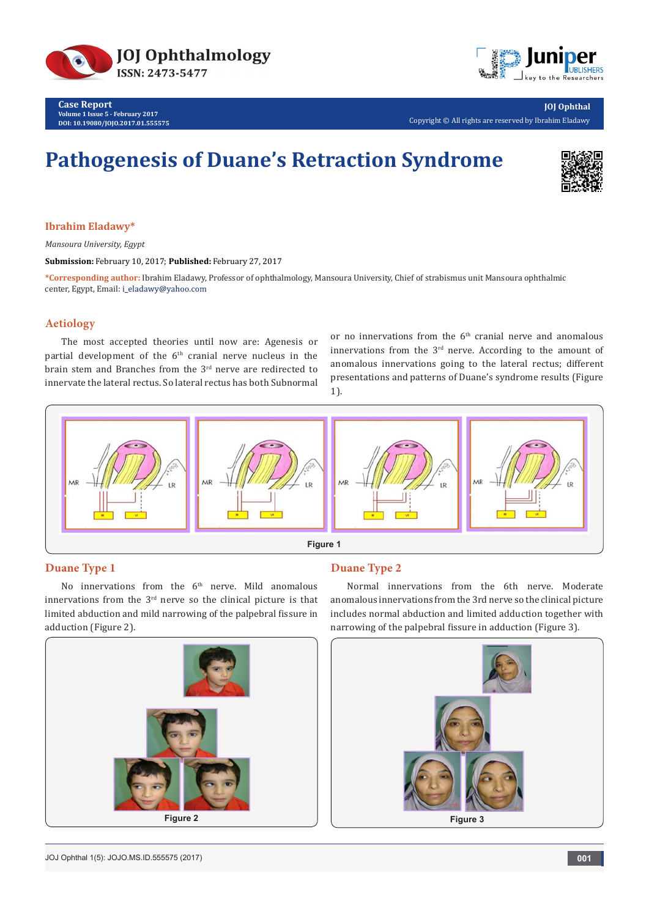



**JOJ Ophthal** Copyright © All rights are reserved by Ibrahim Eladawy

# **Pathogenesis of Duane's Retraction Syndrome**



**Ibrahim Eladawy\***

*Mansoura University, Egypt*

**Submission:** February 10, 2017; **Published:** February 27, 2017

**\*Corresponding author:** Ibrahim Eladawy, Professor of ophthalmology, Mansoura University, Chief of strabismus unit Mansoura ophthalmic center, Egypt, Email: i\_eladawy@yahoo.com

#### **Aetiology**

The most accepted theories until now are: Agenesis or partial development of the  $6<sup>th</sup>$  cranial nerve nucleus in the brain stem and Branches from the 3rd nerve are redirected to innervate the lateral rectus. So lateral rectus has both Subnormal or no innervations from the  $6<sup>th</sup>$  cranial nerve and anomalous innervations from the  $3<sup>rd</sup>$  nerve. According to the amount of anomalous innervations going to the lateral rectus; different presentations and patterns of Duane's syndrome results (Figure 1).



# **Duane Type 1**

No innervations from the  $6<sup>th</sup>$  nerve. Mild anomalous innervations from the 3rd nerve so the clinical picture is that limited abduction and mild narrowing of the palpebral fissure in adduction (Figure 2).

# **Duane Type 2**

Normal innervations from the 6th nerve. Moderate anomalous innervations from the 3rd nerve so the clinical picture includes normal abduction and limited adduction together with narrowing of the palpebral fissure in adduction (Figure 3).